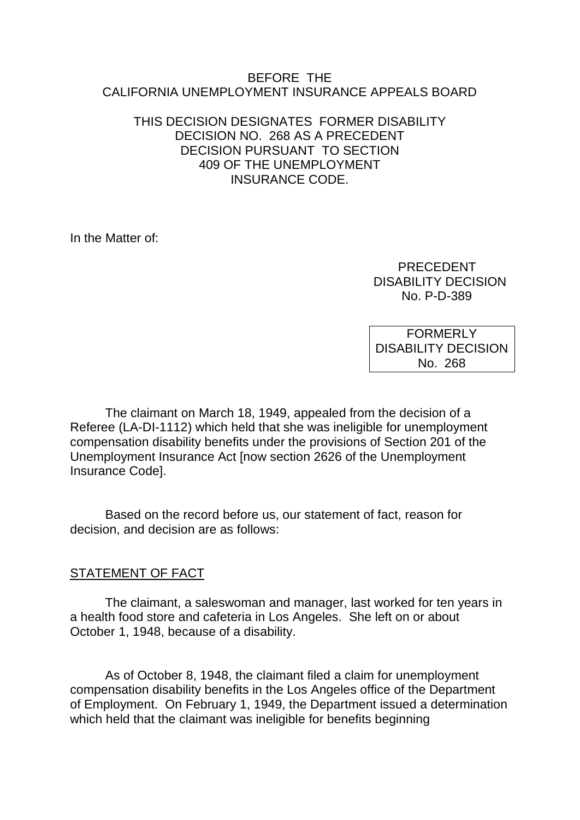#### BEFORE THE CALIFORNIA UNEMPLOYMENT INSURANCE APPEALS BOARD

## THIS DECISION DESIGNATES FORMER DISABILITY DECISION NO. 268 AS A PRECEDENT DECISION PURSUANT TO SECTION 409 OF THE UNEMPLOYMENT INSURANCE CODE.

In the Matter of:

 PRECEDENT DISABILITY DECISION No. P-D-389

FORMERLY DISABILITY DECISION No. 268

The claimant on March 18, 1949, appealed from the decision of a Referee (LA-DI-1112) which held that she was ineligible for unemployment compensation disability benefits under the provisions of Section 201 of the Unemployment Insurance Act [now section 2626 of the Unemployment Insurance Code].

Based on the record before us, our statement of fact, reason for decision, and decision are as follows:

## STATEMENT OF FACT

The claimant, a saleswoman and manager, last worked for ten years in a health food store and cafeteria in Los Angeles. She left on or about October 1, 1948, because of a disability.

As of October 8, 1948, the claimant filed a claim for unemployment compensation disability benefits in the Los Angeles office of the Department of Employment. On February 1, 1949, the Department issued a determination which held that the claimant was ineligible for benefits beginning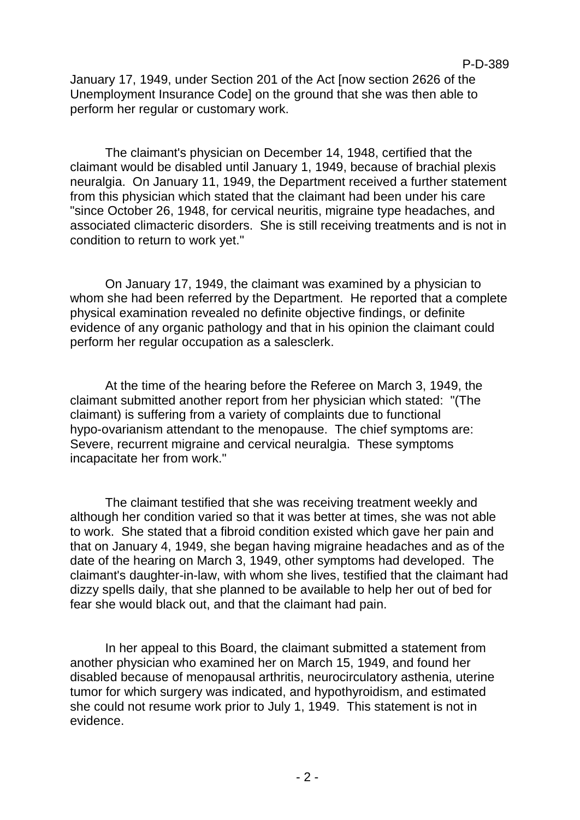January 17, 1949, under Section 201 of the Act [now section 2626 of the Unemployment Insurance Code] on the ground that she was then able to perform her regular or customary work.

The claimant's physician on December 14, 1948, certified that the claimant would be disabled until January 1, 1949, because of brachial plexis neuralgia. On January 11, 1949, the Department received a further statement from this physician which stated that the claimant had been under his care "since October 26, 1948, for cervical neuritis, migraine type headaches, and associated climacteric disorders. She is still receiving treatments and is not in condition to return to work yet."

On January 17, 1949, the claimant was examined by a physician to whom she had been referred by the Department. He reported that a complete physical examination revealed no definite objective findings, or definite evidence of any organic pathology and that in his opinion the claimant could perform her regular occupation as a salesclerk.

At the time of the hearing before the Referee on March 3, 1949, the claimant submitted another report from her physician which stated: "(The claimant) is suffering from a variety of complaints due to functional hypo-ovarianism attendant to the menopause. The chief symptoms are: Severe, recurrent migraine and cervical neuralgia. These symptoms incapacitate her from work."

The claimant testified that she was receiving treatment weekly and although her condition varied so that it was better at times, she was not able to work. She stated that a fibroid condition existed which gave her pain and that on January 4, 1949, she began having migraine headaches and as of the date of the hearing on March 3, 1949, other symptoms had developed. The claimant's daughter-in-law, with whom she lives, testified that the claimant had dizzy spells daily, that she planned to be available to help her out of bed for fear she would black out, and that the claimant had pain.

In her appeal to this Board, the claimant submitted a statement from another physician who examined her on March 15, 1949, and found her disabled because of menopausal arthritis, neurocirculatory asthenia, uterine tumor for which surgery was indicated, and hypothyroidism, and estimated she could not resume work prior to July 1, 1949. This statement is not in evidence.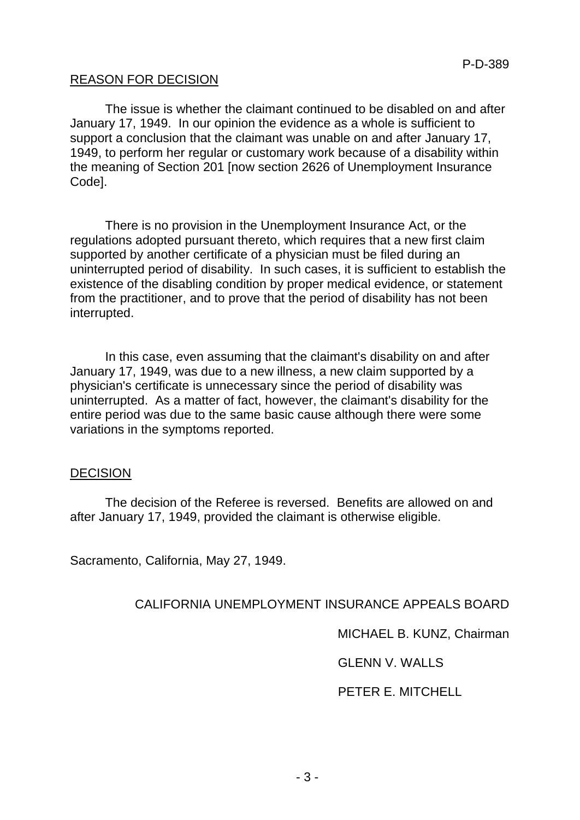## REASON FOR DECISION

The issue is whether the claimant continued to be disabled on and after January 17, 1949. In our opinion the evidence as a whole is sufficient to support a conclusion that the claimant was unable on and after January 17, 1949, to perform her regular or customary work because of a disability within the meaning of Section 201 [now section 2626 of Unemployment Insurance Code].

There is no provision in the Unemployment Insurance Act, or the regulations adopted pursuant thereto, which requires that a new first claim supported by another certificate of a physician must be filed during an uninterrupted period of disability. In such cases, it is sufficient to establish the existence of the disabling condition by proper medical evidence, or statement from the practitioner, and to prove that the period of disability has not been interrupted.

In this case, even assuming that the claimant's disability on and after January 17, 1949, was due to a new illness, a new claim supported by a physician's certificate is unnecessary since the period of disability was uninterrupted. As a matter of fact, however, the claimant's disability for the entire period was due to the same basic cause although there were some variations in the symptoms reported.

### DECISION

The decision of the Referee is reversed. Benefits are allowed on and after January 17, 1949, provided the claimant is otherwise eligible.

Sacramento, California, May 27, 1949.

### CALIFORNIA UNEMPLOYMENT INSURANCE APPEALS BOARD

MICHAEL B. KUNZ, Chairman

GLENN V. WALLS

PETER E. MITCHELL